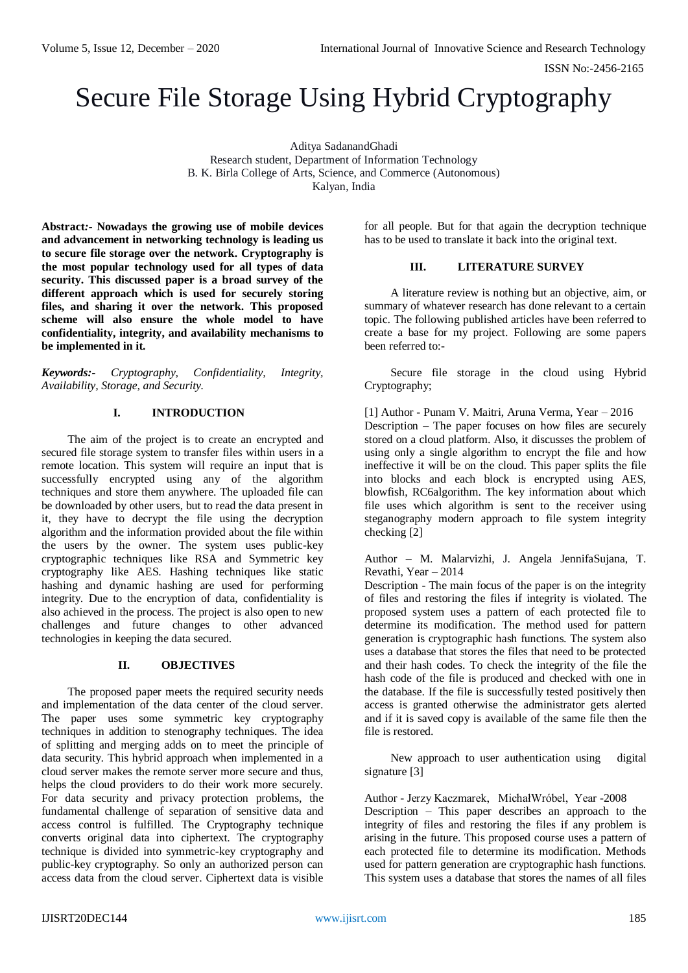# Secure File Storage Using Hybrid Cryptography

Aditya SadanandGhadi Research student, Department of Information Technology B. K. Birla College of Arts, Science, and Commerce (Autonomous) Kalyan, India

**Abstract***:-* **Nowadays the growing use of mobile devices and advancement in networking technology is leading us to secure file storage over the network. Cryptography is the most popular technology used for all types of data security. This discussed paper is a broad survey of the different approach which is used for securely storing files, and sharing it over the network. This proposed scheme will also ensure the whole model to have confidentiality, integrity, and availability mechanisms to be implemented in it.**

*Keywords:- Cryptography, Confidentiality, Integrity, Availability, Storage, and Security.*

# **I. INTRODUCTION**

The aim of the project is to create an encrypted and secured file storage system to transfer files within users in a remote location. This system will require an input that is successfully encrypted using any of the algorithm techniques and store them anywhere. The uploaded file can be downloaded by other users, but to read the data present in it, they have to decrypt the file using the decryption algorithm and the information provided about the file within the users by the owner. The system uses public-key cryptographic techniques like RSA and Symmetric key cryptography like AES. Hashing techniques like static hashing and dynamic hashing are used for performing integrity. Due to the encryption of data, confidentiality is also achieved in the process. The project is also open to new challenges and future changes to other advanced technologies in keeping the data secured.

#### **II. OBJECTIVES**

The proposed paper meets the required security needs and implementation of the data center of the cloud server. The paper uses some symmetric key cryptography techniques in addition to stenography techniques. The idea of splitting and merging adds on to meet the principle of data security. This hybrid approach when implemented in a cloud server makes the remote server more secure and thus, helps the cloud providers to do their work more securely. For data security and privacy protection problems, the fundamental challenge of separation of sensitive data and access control is fulfilled. The Cryptography technique converts original data into ciphertext. The cryptography technique is divided into symmetric-key cryptography and public-key cryptography. So only an authorized person can access data from the cloud server. Ciphertext data is visible

for all people. But for that again the decryption technique has to be used to translate it back into the original text.

## **III. LITERATURE SURVEY**

A literature review is nothing but an objective, aim, or summary of whatever research has done relevant to a certain topic. The following published articles have been referred to create a base for my project. Following are some papers been referred to:-

Secure file storage in the cloud using Hybrid Cryptography;

[1] Author - Punam V. Maitri, Aruna Verma, Year – 2016 Description – The paper focuses on how files are securely stored on a cloud platform. Also, it discusses the problem of using only a single algorithm to encrypt the file and how ineffective it will be on the cloud. This paper splits the file into blocks and each block is encrypted using AES, blowfish, RC6algorithm. The key information about which file uses which algorithm is sent to the receiver using steganography modern approach to file system integrity checking [2]

Author – M. Malarvizhi, J. Angela JennifaSujana, T. Revathi, Year – 2014

Description - The main focus of the paper is on the integrity of files and restoring the files if integrity is violated. The proposed system uses a pattern of each protected file to determine its modification. The method used for pattern generation is cryptographic hash functions. The system also uses a database that stores the files that need to be protected and their hash codes. To check the integrity of the file the hash code of the file is produced and checked with one in the database. If the file is successfully tested positively then access is granted otherwise the administrator gets alerted and if it is saved copy is available of the same file then the file is restored.

New approach to user authentication using digital signature [3]

Author - Jerzy Kaczmarek, MichałWróbel, Year -2008 Description – This paper describes an approach to the integrity of files and restoring the files if any problem is arising in the future. This proposed course uses a pattern of each protected file to determine its modification. Methods used for pattern generation are cryptographic hash functions. This system uses a database that stores the names of all files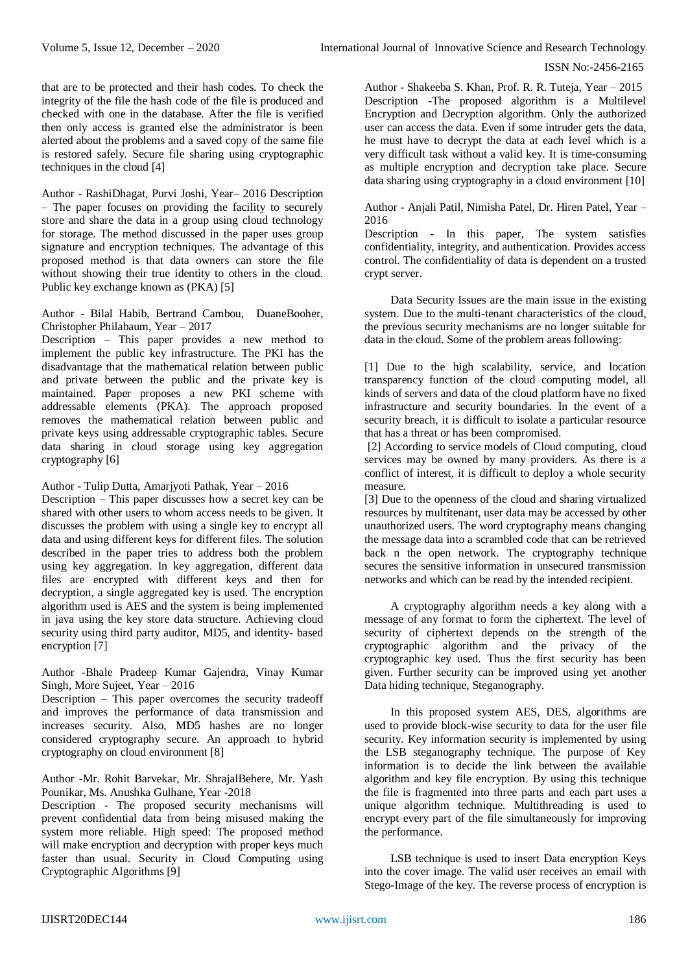that are to be protected and their hash codes. To check the integrity of the file the hash code of the file is produced and checked with one in the database. After the file is verified then only access is granted else the administrator is been alerted about the problems and a saved copy of the same file is restored safely. Secure file sharing using cryptographic techniques in the cloud [4]

Author - RashiDhagat, Purvi Joshi, Year– 2016 Description – The paper focuses on providing the facility to securely store and share the data in a group using cloud technology for storage. The method discussed in the paper uses group signature and encryption techniques. The advantage of this proposed method is that data owners can store the file without showing their true identity to others in the cloud. Public key exchange known as (PKA) [5]

Author - Bilal Habib, Bertrand Cambou, DuaneBooher, Christopher Philabaum, Year – 2017

Description – This paper provides a new method to implement the public key infrastructure. The PKI has the disadvantage that the mathematical relation between public and private between the public and the private key is maintained. Paper proposes a new PKI scheme with addressable elements (PKA). The approach proposed removes the mathematical relation between public and private keys using addressable cryptographic tables. Secure data sharing in cloud storage using key aggregation cryptography [6]

Author - Tulip Dutta, Amarjyoti Pathak, Year – 2016 Description – This paper discusses how a secret key can be shared with other users to whom access needs to be given. It discusses the problem with using a single key to encrypt all data and using different keys for different files. The solution described in the paper tries to address both the problem using key aggregation. In key aggregation, different data files are encrypted with different keys and then for decryption, a single aggregated key is used. The encryption algorithm used is AES and the system is being implemented in java using the key store data structure. Achieving cloud security using third party auditor, MD5, and identity- based encryption [7]

Author -Bhale Pradeep Kumar Gajendra, Vinay Kumar Singh, More Sujeet, Year – 2016

Description – This paper overcomes the security tradeoff and improves the performance of data transmission and increases security. Also, MD5 hashes are no longer considered cryptography secure. An approach to hybrid cryptography on cloud environment [8]

Author -Mr. Rohit Barvekar, Mr. ShrajalBehere, Mr. Yash Pounikar, Ms. Anushka Gulhane, Year -2018

Description - The proposed security mechanisms will prevent confidential data from being misused making the system more reliable. High speed: The proposed method will make encryption and decryption with proper keys much faster than usual. Security in Cloud Computing using Cryptographic Algorithms [9]

Author - Shakeeba S. Khan, Prof. R. R. Tuteja, Year – 2015 Description -The proposed algorithm is a Multilevel Encryption and Decryption algorithm. Only the authorized user can access the data. Even if some intruder gets the data, he must have to decrypt the data at each level which is a very difficult task without a valid key. It is time-consuming as multiple encryption and decryption take place. Secure data sharing using cryptography in a cloud environment [10]

Author - Anjali Patil, Nimisha Patel, Dr. Hiren Patel, Year – 2016

Description - In this paper, The system satisfies confidentiality, integrity, and authentication. Provides access control. The confidentiality of data is dependent on a trusted crypt server.

Data Security Issues are the main issue in the existing system. Due to the multi-tenant characteristics of the cloud, the previous security mechanisms are no longer suitable for data in the cloud. Some of the problem areas following:

[1] Due to the high scalability, service, and location transparency function of the cloud computing model, all kinds of servers and data of the cloud platform have no fixed infrastructure and security boundaries. In the event of a security breach, it is difficult to isolate a particular resource that has a threat or has been compromised.

[2] According to service models of Cloud computing, cloud services may be owned by many providers. As there is a conflict of interest, it is difficult to deploy a whole security measure.

[3] Due to the openness of the cloud and sharing virtualized resources by multitenant, user data may be accessed by other unauthorized users. The word cryptography means changing the message data into a scrambled code that can be retrieved back n the open network. The cryptography technique secures the sensitive information in unsecured transmission networks and which can be read by the intended recipient.

A cryptography algorithm needs a key along with a message of any format to form the ciphertext. The level of security of ciphertext depends on the strength of the cryptographic algorithm and the privacy of the cryptographic key used. Thus the first security has been given. Further security can be improved using yet another Data hiding technique, Steganography.

In this proposed system AES, DES, algorithms are used to provide block-wise security to data for the user file security. Key information security is implemented by using the LSB steganography technique. The purpose of Key information is to decide the link between the available algorithm and key file encryption. By using this technique the file is fragmented into three parts and each part uses a unique algorithm technique. Multithreading is used to encrypt every part of the file simultaneously for improving the performance.

LSB technique is used to insert Data encryption Keys into the cover image. The valid user receives an email with Stego-Image of the key. The reverse process of encryption is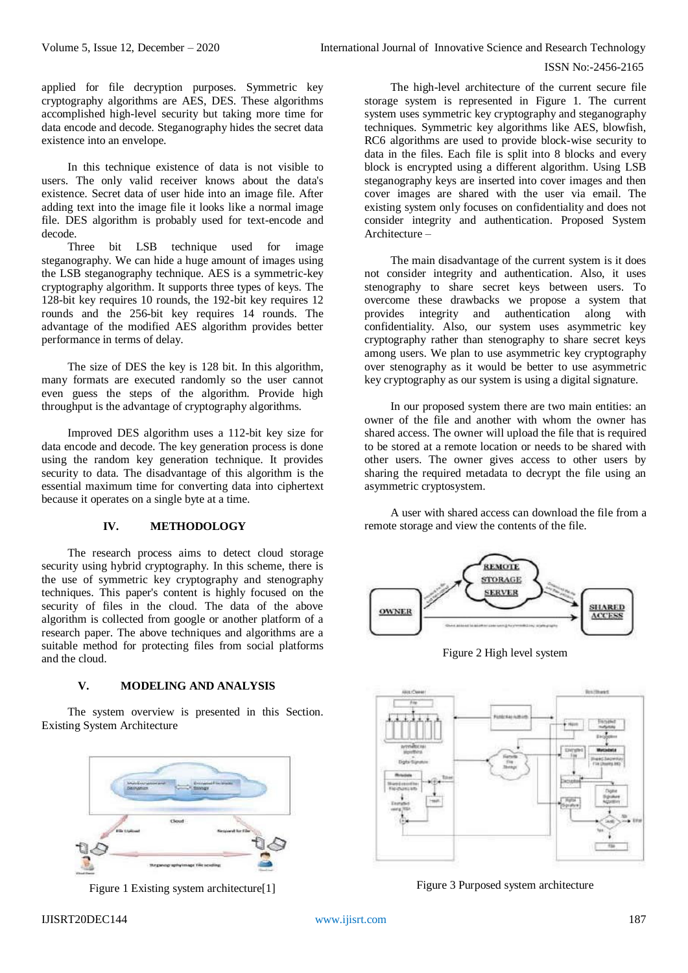applied for file decryption purposes. Symmetric key cryptography algorithms are AES, DES. These algorithms accomplished high-level security but taking more time for data encode and decode. Steganography hides the secret data existence into an envelope.

In this technique existence of data is not visible to users. The only valid receiver knows about the data's existence. Secret data of user hide into an image file. After adding text into the image file it looks like a normal image file. DES algorithm is probably used for text-encode and decode.

Three bit LSB technique used for image steganography. We can hide a huge amount of images using the LSB steganography technique. AES is a symmetric-key cryptography algorithm. It supports three types of keys. The 128-bit key requires 10 rounds, the 192-bit key requires 12 rounds and the 256-bit key requires 14 rounds. The advantage of the modified AES algorithm provides better performance in terms of delay.

The size of DES the key is 128 bit. In this algorithm, many formats are executed randomly so the user cannot even guess the steps of the algorithm. Provide high throughput is the advantage of cryptography algorithms.

Improved DES algorithm uses a 112-bit key size for data encode and decode. The key generation process is done using the random key generation technique. It provides security to data. The disadvantage of this algorithm is the essential maximum time for converting data into ciphertext because it operates on a single byte at a time.

# **IV. METHODOLOGY**

The research process aims to detect cloud storage security using hybrid cryptography. In this scheme, there is the use of symmetric key cryptography and stenography techniques. This paper's content is highly focused on the security of files in the cloud. The data of the above algorithm is collected from google or another platform of a research paper. The above techniques and algorithms are a suitable method for protecting files from social platforms and the cloud.

# **V. MODELING AND ANALYSIS**

The system overview is presented in this Section. Existing System Architecture



Figure 1 Existing system architecture[1]

The high-level architecture of the current secure file storage system is represented in Figure 1. The current system uses symmetric key cryptography and steganography techniques. Symmetric key algorithms like AES, blowfish, RC6 algorithms are used to provide block-wise security to data in the files. Each file is split into 8 blocks and every block is encrypted using a different algorithm. Using LSB steganography keys are inserted into cover images and then cover images are shared with the user via email. The existing system only focuses on confidentiality and does not consider integrity and authentication. Proposed System Architecture –

The main disadvantage of the current system is it does not consider integrity and authentication. Also, it uses stenography to share secret keys between users. To overcome these drawbacks we propose a system that provides integrity and authentication along with confidentiality. Also, our system uses asymmetric key cryptography rather than stenography to share secret keys among users. We plan to use asymmetric key cryptography over stenography as it would be better to use asymmetric key cryptography as our system is using a digital signature.

In our proposed system there are two main entities: an owner of the file and another with whom the owner has shared access. The owner will upload the file that is required to be stored at a remote location or needs to be shared with other users. The owner gives access to other users by sharing the required metadata to decrypt the file using an asymmetric cryptosystem.

A user with shared access can download the file from a remote storage and view the contents of the file.



Figure 2 High level system



Figure 3 Purposed system architecture